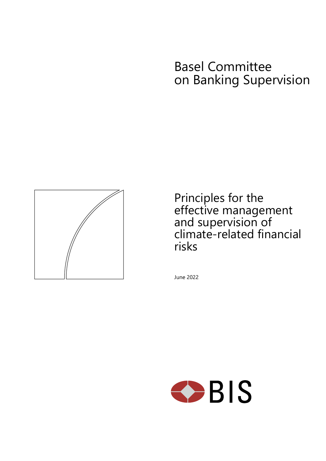# Basel Committee on Banking Supervision



Principles for the effective management and supervision of climate-related financial risks

June 2022

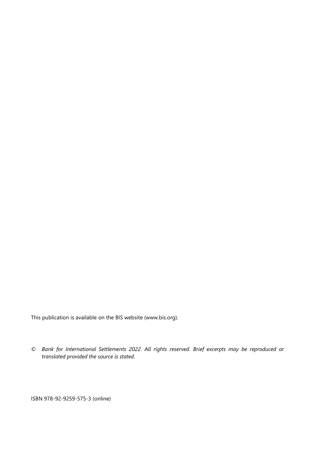This publication is available on the BIS website [\(www.bis.org\)](http://www.bis.org/).

*© Bank for International Settlements 2022. All rights reserved. Brief excerpts may be reproduced or translated provided the source is stated.*

ISBN 978-92-9259-575-3 (online)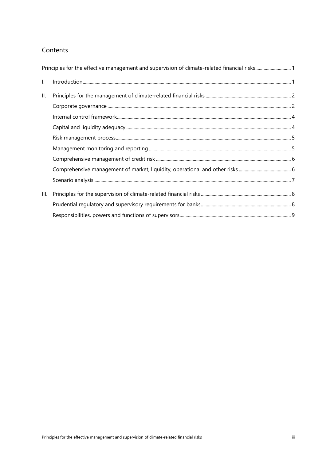# Contents

| $\mathbf{L}$ |  |
|--------------|--|
| Ш.           |  |
|              |  |
|              |  |
|              |  |
|              |  |
|              |  |
|              |  |
|              |  |
|              |  |
| Ш.           |  |
|              |  |
|              |  |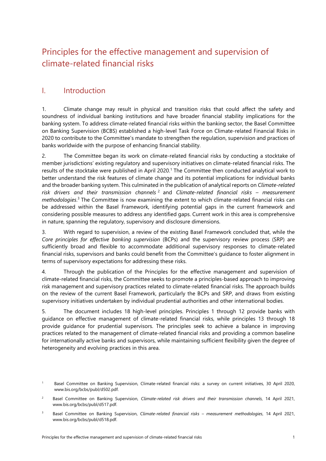# <span id="page-4-0"></span>Principles for the effective management and supervision of climate-related financial risks

# <span id="page-4-1"></span>I. Introduction

1. Climate change may result in physical and transition risks that could affect the safety and soundness of individual banking institutions and have broader financial stability implications for the banking system. To address climate-related financial risks within the banking sector, the Basel Committee on Banking Supervision (BCBS) established a high-level Task Force on Climate-related Financial Risks in 2020 to contribute to the Committee's mandate to strengthen the regulation, supervision and practices of banks worldwide with the purpose of enhancing financial stability.

2. The Committee began its work on climate-related financial risks by conducting a stocktake of member jurisdictions' existing regulatory and supervisory initiatives on climate-related financial risks. The results of the stocktake were published in April 2020.1 The Committee then conducted analytical work to better understand the risk features of climate change and its potential implications for individual banks and the broader banking system. This culminated in the publication of analytical reports on *Climate-related risk drivers and their transmission channels* <sup>2</sup> and *Climate-related financial risks – measurement methodologies*. <sup>3</sup> The Committee is now examining the extent to which climate-related financial risks can be addressed within the Basel Framework, identifying potential gaps in the current framework and considering possible measures to address any identified gaps. Current work in this area is comprehensive in nature, spanning the regulatory, supervisory and disclosure dimensions.

3. With regard to supervision, a review of the existing Basel Framework concluded that, while the *Core principles for effective banking supervision* (BCPs) and the supervisory review process (SRP) are sufficiently broad and flexible to accommodate additional supervisory responses to climate-related financial risks, supervisors and banks could benefit from the Committee's guidance to foster alignment in terms of supervisory expectations for addressing these risks.

4. Through the publication of the Principles for the effective management and supervision of climate-related financial risks, the Committee seeks to promote a principles-based approach to improving risk management and supervisory practices related to climate-related financial risks. The approach builds on the review of the current Basel Framework, particularly the BCPs and SRP, and draws from existing supervisory initiatives undertaken by individual prudential authorities and other international bodies.

5. The document includes 18 high-level principles. Principles 1 through 12 provide banks with guidance on effective management of climate-related financial risks, while principles 13 through 18 provide guidance for prudential supervisors. The principles seek to achieve a balance in improving practices related to the management of climate-related financial risks and providing a common baseline for internationally active banks and supervisors, while maintaining sufficient flexibility given the degree of heterogeneity and evolving practices in this area.

Basel Committee on Banking Supervision, Climate-related financial risks: a survey on current initiatives, 30 April 2020, www.bis.org/bcbs/publ/d502.pdf.

<sup>&</sup>lt;sup>2</sup> Basel Committee on Banking Supervision, *Climate-related risk drivers and their transmission channels*, 14 April 2021, www.bis.org/bcbs/publ/d517.pdf.

<sup>3</sup> Basel Committee on Banking Supervision, *Climate-related financial risks – measurement methodologies*, 14 April 2021, www.bis.org/bcbs/publ/d518.pdf.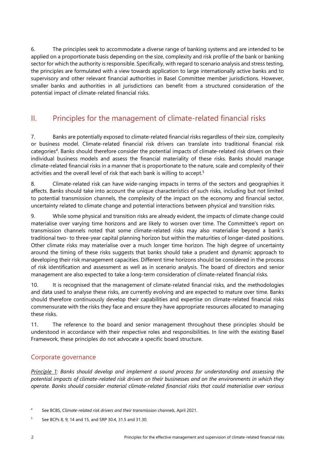6. The principles seek to accommodate a diverse range of banking systems and are intended to be applied on a proportionate basis depending on the size, complexity and risk profile of the bank or banking sector for which the authority is responsible. Specifically, with regard to scenario analysis and stress testing, the principles are formulated with a view towards application to large internationally active banks and to supervisory and other relevant financial authorities in Basel Committee member jurisdictions. However, smaller banks and authorities in all jurisdictions can benefit from a structured consideration of the potential impact of climate-related financial risks.

# <span id="page-5-0"></span>II. Principles for the management of climate-related financial risks

7. Banks are potentially exposed to climate-related financial risks regardless of their size, complexity or business model. Climate-related financial risk drivers can translate into traditional financial risk categories4. Banks should therefore consider the potential impacts of climate-related risk drivers on their individual business models and assess the financial materiality of these risks. Banks should manage climate-related financial risks in a manner that is proportionate to the nature, scale and complexity of their activities and the overall level of risk that each bank is willing to accept.<sup>5</sup>

8. Climate-related risk can have wide-ranging impacts in terms of the sectors and geographies it affects. Banks should take into account the unique characteristics of such risks, including but not limited to potential transmission channels, the complexity of the impact on the economy and financial sector, uncertainty related to climate change and potential interactions between physical and transition risks.

9. While some physical and transition risks are already evident, the impacts of climate change could materialise over varying time horizons and are likely to worsen over time. The Committee's report on transmission channels noted that some climate-related risks may also materialise beyond a bank's traditional two- to three-year capital planning horizon but within the maturities of longer-dated positions. Other climate risks may materialise over a much longer time horizon. The high degree of uncertainty around the timing of these risks suggests that banks should take a prudent and dynamic approach to developing their risk management capacities. Different time horizons should be considered in the process of risk identification and assessment as well as in scenario analysis. The board of directors and senior management are also expected to take a long-term consideration of climate-related financial risks.

10. It is recognised that the management of climate-related financial risks, and the methodologies and data used to analyse these risks, are currently evolving and are expected to mature over time. Banks should therefore continuously develop their capabilities and expertise on climate-related financial risks commensurate with the risks they face and ensure they have appropriate resources allocated to managing these risks.

11. The reference to the board and senior management throughout these principles should be understood in accordance with their respective roles and responsibilities. In line with the existing Basel Framework, these principles do not advocate a specific board structure.

#### <span id="page-5-1"></span>Corporate governance

*Principle 1: Banks should develop and implement a sound process for understanding and assessing the potential impacts of climate-related risk drivers on their businesses and on the environments in which they operate. Banks should consider material climate-related financial risks that could materialise over various* 

<sup>4</sup> See BCBS, *Climate-related risk drivers and their transmission channels*, April 2021.

<sup>5</sup> See BCPs 8, 9, 14 and 15, and SRP 30.4, 31.5 and 31.30.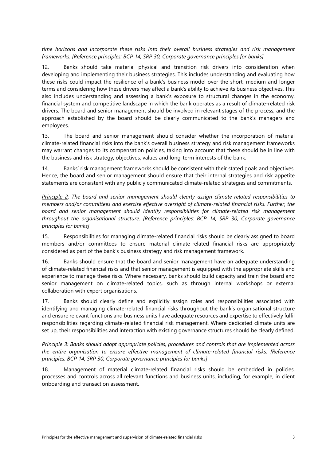*time horizons and incorporate these risks into their overall business strategies and risk management frameworks. [Reference principles: BCP 14, SRP 30, Corporate governance principles for banks]*

12. Banks should take material physical and transition risk drivers into consideration when developing and implementing their business strategies. This includes understanding and evaluating how these risks could impact the resilience of a bank's business model over the short, medium and longer terms and considering how these drivers may affect a bank's ability to achieve its business objectives. This also includes understanding and assessing a bank's exposure to structural changes in the economy, financial system and competitive landscape in which the bank operates as a result of climate-related risk drivers. The board and senior management should be involved in relevant stages of the process, and the approach established by the board should be clearly communicated to the bank's managers and employees.

13. The board and senior management should consider whether the incorporation of material climate-related financial risks into the bank's overall business strategy and risk management frameworks may warrant changes to its compensation policies, taking into account that these should be in line with the business and risk strategy, objectives, values and long-term interests of the bank.

14. Banks' risk management frameworks should be consistent with their stated goals and objectives. Hence, the board and senior management should ensure that their internal strategies and risk appetite statements are consistent with any publicly communicated climate-related strategies and commitments.

*Principle 2: The board and senior management should clearly assign climate-related responsibilities to members and/or committees and exercise effective oversight of climate-related financial risks. Further, the board and senior management should identify responsibilities for climate-related risk management throughout the organisational structure. [Reference principles: BCP 14, SRP 30, Corporate governance principles for banks]*

15. Responsibilities for managing climate-related financial risks should be clearly assigned to board members and/or committees to ensure material climate-related financial risks are appropriately considered as part of the bank's business strategy and risk management framework.

16. Banks should ensure that the board and senior management have an adequate understanding of climate-related financial risks and that senior management is equipped with the appropriate skills and experience to manage these risks. Where necessary, banks should build capacity and train the board and senior management on climate-related topics, such as through internal workshops or external collaboration with expert organisations.

17. Banks should clearly define and explicitly assign roles and responsibilities associated with identifying and managing climate-related financial risks throughout the bank's organisational structure and ensure relevant functions and business units have adequate resources and expertise to effectively fulfil responsibilities regarding climate-related financial risk management. Where dedicated climate units are set up, their responsibilities and interaction with existing governance structures should be clearly defined.

*Principle 3: Banks should adopt appropriate policies, procedures and controls that are implemented across the entire organisation to ensure effective management of climate-related financial risks. [Reference principles: BCP 14, SRP 30, Corporate governance principles for banks]*

18. Management of material climate-related financial risks should be embedded in policies, processes and controls across all relevant functions and business units, including, for example, in client onboarding and transaction assessment.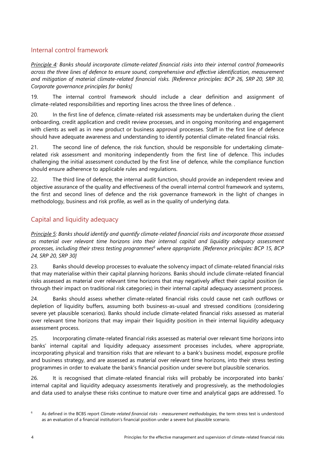# <span id="page-7-0"></span>Internal control framework

*Principle 4: Banks should incorporate climate-related financial risks into their internal control frameworks across the three lines of defence to ensure sound, comprehensive and effective identification, measurement and mitigation of material climate-related financial risks. [Reference principles: BCP 26, SRP 20, SRP 30, Corporate governance principles for banks]*

19. The internal control framework should include a clear definition and assignment of climate-related responsibilities and reporting lines across the three lines of defence. .

20. In the first line of defence, climate-related risk assessments may be undertaken during the client onboarding, credit application and credit review processes, and in ongoing monitoring and engagement with clients as well as in new product or business approval processes. Staff in the first line of defence should have adequate awareness and understanding to identify potential climate-related financial risks.

21. The second line of defence, the risk function, should be responsible for undertaking climaterelated risk assessment and monitoring independently from the first line of defence. This includes challenging the initial assessment conducted by the first line of defence, while the compliance function should ensure adherence to applicable rules and regulations.

22. The third line of defence, the internal audit function, should provide an independent review and objective assurance of the quality and effectiveness of the overall internal control framework and systems, the first and second lines of defence and the risk governance framework in the light of changes in methodology, business and risk profile, as well as in the quality of underlying data.

# <span id="page-7-1"></span>Capital and liquidity adequacy

*Principle 5: Banks should identify and quantify climate-related financial risks and incorporate those assessed as material over relevant time horizons into their internal capital and liquidity adequacy assessment processes, including their stress testing programmes6 where appropriate. [Reference principles: BCP 15, BCP 24, SRP 20, SRP 30]*

23. Banks should develop processes to evaluate the solvency impact of climate-related financial risks that may materialise within their capital planning horizons. Banks should include climate-related financial risks assessed as material over relevant time horizons that may negatively affect their capital position (ie through their impact on traditional risk categories) in their internal capital adequacy assessment process.

24. Banks should assess whether climate-related financial risks could cause net cash outflows or depletion of liquidity buffers, assuming both business-as-usual and stressed conditions (considering severe yet plausible scenarios). Banks should include climate-related financial risks assessed as material over relevant time horizons that may impair their liquidity position in their internal liquidity adequacy assessment process.

25. Incorporating climate-related financial risks assessed as material over relevant time horizons into banks' internal capital and liquidity adequacy assessment processes includes, where appropriate, incorporating physical and transition risks that are relevant to a bank's business model, exposure profile and business strategy, and are assessed as material over relevant time horizons, into their stress testing programmes in order to evaluate the bank's financial position under severe but plausible scenarios.

26. It is recognised that climate-related financial risks will probably be incorporated into banks' internal capital and liquidity adequacy assessments iteratively and progressively, as the methodologies and data used to analyse these risks continue to mature over time and analytical gaps are addressed. To

<sup>6</sup> As defined in the BCBS report *Climate-related financial risks - measurement methodologies*, the term stress test is understood as an evaluation of a financial institution's financial position under a severe but plausible scenario.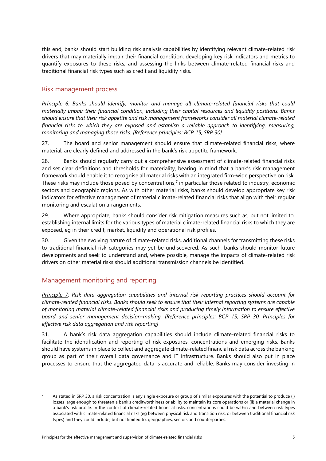this end, banks should start building risk analysis capabilities by identifying relevant climate-related risk drivers that may materially impair their financial condition, developing key risk indicators and metrics to quantify exposures to these risks, and assessing the links between climate-related financial risks and traditional financial risk types such as credit and liquidity risks.

#### <span id="page-8-0"></span>Risk management process

*Principle 6: Banks should identify, monitor and manage all climate-related financial risks that could materially impair their financial condition, including their capital resources and liquidity positions. Banks should ensure that their risk appetite and risk management frameworks consider all material climate-related financial risks to which they are exposed and establish a reliable approach to identifying, measuring, monitoring and managing those risks. [Reference principles: BCP 15, SRP 30]*

27. The board and senior management should ensure that climate-related financial risks, where material, are clearly defined and addressed in the bank's risk appetite framework.

28. Banks should regularly carry out a comprehensive assessment of climate-related financial risks and set clear definitions and thresholds for materiality, bearing in mind that a bank's risk management framework should enable it to recognise all material risks with an integrated firm-wide perspective on risk. These risks may include those posed by concentrations,<sup>7</sup> in particular those related to industry, economic sectors and geographic regions. As with other material risks, banks should develop appropriate key risk indicators for effective management of material climate-related financial risks that align with their regular monitoring and escalation arrangements.

29. Where appropriate, banks should consider risk mitigation measures such as, but not limited to, establishing internal limits for the various types of material climate-related financial risks to which they are exposed, eg in their credit, market, liquidity and operational risk profiles.

30. Given the evolving nature of climate-related risks, additional channels for transmitting these risks to traditional financial risk categories may yet be undiscovered. As such, banks should monitor future developments and seek to understand and, where possible, manage the impacts of climate-related risk drivers on other material risks should additional transmission channels be identified.

#### <span id="page-8-1"></span>Management monitoring and reporting

*Principle 7: Risk data aggregation capabilities and internal risk reporting practices should account for climate-related financial risks. Banks should seek to ensure that their internal reporting systems are capable of monitoring material climate-related financial risks and producing timely information to ensure effective board and senior management decision-making. [Reference principles: BCP 15, SRP 30, Principles for effective risk data aggregation and risk reporting]*

31. A bank's risk data aggregation capabilities should include climate-related financial risks to facilitate the identification and reporting of risk exposures, concentrations and emerging risks. Banks should have systems in place to collect and aggregate climate-related financial risk data across the banking group as part of their overall data governance and IT infrastructure. Banks should also put in place processes to ensure that the aggregated data is accurate and reliable. Banks may consider investing in

As stated in SRP 30, a risk concentration is any single exposure or group of similar exposures with the potential to produce (i) losses large enough to threaten a bank's creditworthiness or ability to maintain its core operations or (ii) a material change in a bank's risk profile. In the context of climate-related financial risks, concentrations could be within and between risk types associated with climate-related financial risks (eg between physical risk and transition risk, or between traditional financial risk types) and they could include, but not limited to, geographies, sectors and counterparties.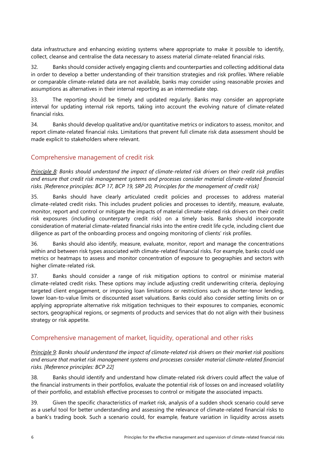data infrastructure and enhancing existing systems where appropriate to make it possible to identify, collect, cleanse and centralise the data necessary to assess material climate-related financial risks.

32. Banks should consider actively engaging clients and counterparties and collecting additional data in order to develop a better understanding of their transition strategies and risk profiles. Where reliable or comparable climate-related data are not available, banks may consider using reasonable proxies and assumptions as alternatives in their internal reporting as an intermediate step.

33. The reporting should be timely and updated regularly. Banks may consider an appropriate interval for updating internal risk reports, taking into account the evolving nature of climate-related financial risks.

34. Banks should develop qualitative and/or quantitative metrics or indicators to assess, monitor, and report climate-related financial risks. Limitations that prevent full climate risk data assessment should be made explicit to stakeholders where relevant.

# <span id="page-9-0"></span>Comprehensive management of credit risk

*Principle 8: Banks should understand the impact of climate-related risk drivers on their credit risk profiles and ensure that credit risk management systems and processes consider material climate-related financial risks. [Reference principles: BCP 17, BCP 19, SRP 20, Principles for the management of credit risk]*

35. Banks should have clearly articulated credit policies and processes to address material climate-related credit risks. This includes prudent policies and processes to identify, measure, evaluate, monitor, report and control or mitigate the impacts of material climate-related risk drivers on their credit risk exposures (including counterparty credit risk) on a timely basis. Banks should incorporate consideration of material climate-related financial risks into the entire credit life cycle, including client due diligence as part of the onboarding process and ongoing monitoring of clients' risk profiles.

36. Banks should also identify, measure, evaluate, monitor, report and manage the concentrations within and between risk types associated with climate-related financial risks. For example, banks could use metrics or heatmaps to assess and monitor concentration of exposure to geographies and sectors with higher climate-related risk.

37. Banks should consider a range of risk mitigation options to control or minimise material climate-related credit risks. These options may include adjusting credit underwriting criteria, deploying targeted client engagement, or imposing loan limitations or restrictions such as shorter-tenor lending, lower loan-to-value limits or discounted asset valuations. Banks could also consider setting limits on or applying appropriate alternative risk mitigation techniques to their exposures to companies, economic sectors, geographical regions, or segments of products and services that do not align with their business strategy or risk appetite.

#### <span id="page-9-1"></span>Comprehensive management of market, liquidity, operational and other risks

*Principle 9: Banks should understand the impact of climate-related risk drivers on their market risk positions and ensure that market risk management systems and processes consider material climate-related financial risks. [Reference principles: BCP 22]*

38. Banks should identify and understand how climate-related risk drivers could affect the value of the financial instruments in their portfolios, evaluate the potential risk of losses on and increased volatility of their portfolio, and establish effective processes to control or mitigate the associated impacts.

39. Given the specific characteristics of market risk, analysis of a sudden shock scenario could serve as a useful tool for better understanding and assessing the relevance of climate-related financial risks to a bank's trading book. Such a scenario could, for example, feature variation in liquidity across assets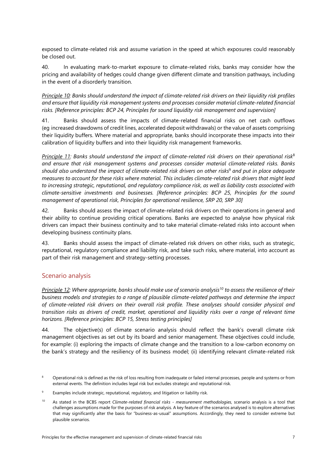exposed to climate-related risk and assume variation in the speed at which exposures could reasonably be closed out.

40. In evaluating mark-to-market exposure to climate-related risks, banks may consider how the pricing and availability of hedges could change given different climate and transition pathways, including in the event of a disorderly transition.

*Principle 10: Banks should understand the impact of climate-related risk drivers on their liquidity risk profiles and ensure that liquidity risk management systems and processes consider material climate-related financial risks. [Reference principles: BCP 24, Principles for sound liquidity risk management and supervision]*

41. Banks should assess the impacts of climate-related financial risks on net cash outflows (eg increased drawdowns of credit lines, accelerated deposit withdrawals) or the value of assets comprising their liquidity buffers. Where material and appropriate, banks should incorporate these impacts into their calibration of liquidity buffers and into their liquidity risk management frameworks.

*Principle 11: Banks should understand the impact of climate-related risk drivers on their operational risk*<sup>8</sup> *and ensure that risk management systems and processes consider material climate-related risks. Banks should also understand the impact of climate-related risk drivers on other risks*<sup>9</sup> *and put in place adequate measures to account for these risks where material. This includes climate-related risk drivers that might lead to increasing strategic, reputational, and regulatory compliance risk, as well as liability costs associated with climate-sensitive investments and businesses. [Reference principles: BCP 25, Principles for the sound management of operational risk, Principles for operational resilience, SRP 20, SRP 30]*

42. Banks should assess the impact of climate-related risk drivers on their operations in general and their ability to continue providing critical operations. Banks are expected to analyse how physical risk drivers can impact their business continuity and to take material climate-related risks into account when developing business continuity plans.

43. Banks should assess the impact of climate-related risk drivers on other risks, such as strategic, reputational, regulatory compliance and liability risk, and take such risks, where material, into account as part of their risk management and strategy-setting processes.

#### <span id="page-10-0"></span>Scenario analysis

*Principle 12: Where appropriate, banks should make use of scenario analysis10 to assess the resilience of their business models and strategies to a range of plausible climate-related pathways and determine the impact of climate-related risk drivers on their overall risk profile. These analyses should consider physical and transition risks as drivers of credit, market, operational and liquidity risks over a range of relevant time horizons. [Reference principles: BCP 15, Stress testing principles]*

44. The objective(s) of climate scenario analysis should reflect the bank's overall climate risk management objectives as set out by its board and senior management. These objectives could include, for example: (i) exploring the impacts of climate change and the transition to a low-carbon economy on the bank's strategy and the resiliency of its business model; (ii) identifying relevant climate-related risk

<sup>&</sup>lt;sup>8</sup> Operational risk is defined as the risk of loss resulting from inadequate or failed internal processes, people and systems or from external events. The definition includes legal risk but excludes strategic and reputational risk.

Examples include strategic, reputational, regulatory, and litigation or liability risk.

<sup>10</sup> As stated in the BCBS report *Climate-related financial risks - measurement methodologies*, scenario analysis is a tool that challenges assumptions made for the purposes of risk analysis. A key feature of the scenarios analysed is to explore alternatives that may significantly alter the basis for "business-as-usual" assumptions. Accordingly, they need to consider extreme but plausible scenarios.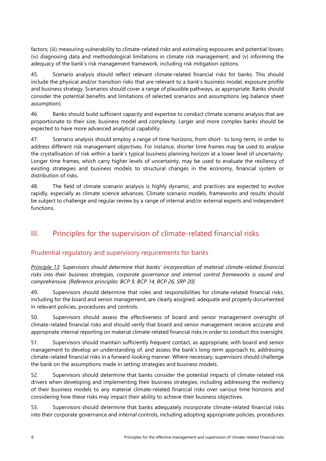factors; (iii) measuring vulnerability to climate-related risks and estimating exposures and potential losses; (iv) diagnosing data and methodological limitations in climate risk management; and (v) informing the adequacy of the bank's risk management framework, including risk mitigation options.

45. Scenario analysis should reflect relevant climate-related financial risks for banks. This should include the physical and/or transition risks that are relevant to a bank's business model, exposure profile and business strategy. Scenarios should cover a range of plausible pathways, as appropriate. Banks should consider the potential benefits and limitations of selected scenarios and assumptions (eg balance sheet assumption).

46. Banks should build sufficient capacity and expertise to conduct climate scenario analysis that are proportionate to their size, business model and complexity. Larger and more complex banks should be expected to have more advanced analytical capability.

47. Scenario analysis should employ a range of time horizons, from short- to long-term, in order to address different risk management objectives. For instance, shorter time frames may be used to analyse the crystallisation of risk within a bank's typical business planning horizon at a lower level of uncertainty. Longer time frames, which carry higher levels of uncertainty, may be used to evaluate the resiliency of existing strategies and business models to structural changes in the economy, financial system or distribution of risks.

48. The field of climate scenario analysis is highly dynamic, and practices are expected to evolve rapidly, especially as climate science advances. Climate scenario models, frameworks and results should be subject to challenge and regular review by a range of internal and/or external experts and independent functions.

# <span id="page-11-0"></span>III. Principles for the supervision of climate-related financial risks

# <span id="page-11-1"></span>Prudential regulatory and supervisory requirements for banks

*Principle 13: Supervisors should determine that banks' incorporation of material climate-related financial risks into their business strategies, corporate governance and internal control frameworks is sound and comprehensive. [Reference principles: BCP 9, BCP 14, BCP 26, SRP 20]*

49. Supervisors should determine that roles and responsibilities for climate-related financial risks, including for the board and senior management, are clearly assigned, adequate and properly documented in relevant policies, procedures and controls.

50. Supervisors should assess the effectiveness of board and senior management oversight of climate-related financial risks and should verify that board and senior management receive accurate and appropriate internal reporting on material climate-related financial risks in order to conduct this oversight.

51. Supervisors should maintain sufficiently frequent contact, as appropriate, with board and senior management to develop an understanding of, and assess the bank's long-term approach to, addressing climate-related financial risks in a forward-looking manner. Where necessary, supervisors should challenge the bank on the assumptions made in setting strategies and business models.

52. Supervisors should determine that banks consider the potential impacts of climate-related risk drivers when developing and implementing their business strategies, including addressing the resiliency of their business models to any material climate-related financial risks over various time horizons and considering how these risks may impact their ability to achieve their business objectives.

53. Supervisors should determine that banks adequately incorporate climate-related financial risks into their corporate governance and internal controls, including adopting appropriate policies, procedures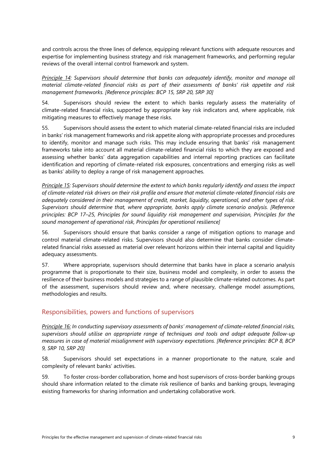and controls across the three lines of defence, equipping relevant functions with adequate resources and expertise for implementing business strategy and risk management frameworks, and performing regular reviews of the overall internal control framework and system.

*Principle 14: Supervisors should determine that banks can adequately identify, monitor and manage all material climate-related financial risks as part of their assessments of banks' risk appetite and risk management frameworks. [Reference principles: BCP 15, SRP 20, SRP 30]*

54. Supervisors should review the extent to which banks regularly assess the materiality of climate-related financial risks, supported by appropriate key risk indicators and, where applicable, risk mitigating measures to effectively manage these risks.

55. Supervisors should assess the extent to which material climate-related financial risks are included in banks' risk management frameworks and risk appetite along with appropriate processes and procedures to identify, monitor and manage such risks. This may include ensuring that banks' risk management frameworks take into account all material climate-related financial risks to which they are exposed and assessing whether banks' data aggregation capabilities and internal reporting practices can facilitate identification and reporting of climate-related risk exposures, concentrations and emerging risks as well as banks' ability to deploy a range of risk management approaches.

*Principle 15: Supervisors should determine the extent to which banks regularly identify and assess the impact of climate-related risk drivers on their risk profile and ensure that material climate-related financial risks are adequately considered in their management of credit, market, liquidity, operational, and other types of risk. Supervisors should determine that, where appropriate, banks apply climate scenario analysis. [Reference principles: BCP 17–25, Principles for sound liquidity risk management and supervision, Principles for the sound management of operational risk, Principles for operational resilience]*

56. Supervisors should ensure that banks consider a range of mitigation options to manage and control material climate-related risks. Supervisors should also determine that banks consider climaterelated financial risks assessed as material over relevant horizons within their internal capital and liquidity adequacy assessments.

57. Where appropriate, supervisors should determine that banks have in place a scenario analysis programme that is proportionate to their size, business model and complexity, in order to assess the resilience of their business models and strategies to a range of plausible climate-related outcomes. As part of the assessment, supervisors should review and, where necessary, challenge model assumptions, methodologies and results.

# <span id="page-12-0"></span>Responsibilities, powers and functions of supervisors

*Principle 16: In conducting supervisory assessments of banks' management of climate-related financial risks, supervisors should utilise an appropriate range of techniques and tools and adopt adequate follow-up measures in case of material misalignment with supervisory expectations. [Reference principles: BCP 8, BCP 9, SRP 10, SRP 20]*

58. Supervisors should set expectations in a manner proportionate to the nature, scale and complexity of relevant banks' activities.

59. To foster cross-border collaboration, home and host supervisors of cross-border banking groups should share information related to the climate risk resilience of banks and banking groups, leveraging existing frameworks for sharing information and undertaking collaborative work.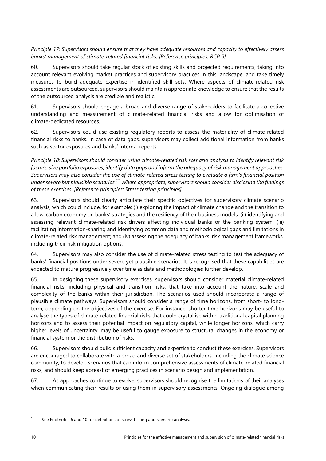*Principle 17: Supervisors should ensure that they have adequate resources and capacity to effectively assess banks' management of climate-related financial risks. [Reference principles: BCP 9]*

60. Supervisors should take regular stock of existing skills and projected requirements, taking into account relevant evolving market practices and supervisory practices in this landscape, and take timely measures to build adequate expertise in identified skill sets. Where aspects of climate-related risk assessments are outsourced, supervisors should maintain appropriate knowledge to ensure that the results of the outsourced analysis are credible and realistic.

61. Supervisors should engage a broad and diverse range of stakeholders to facilitate a collective understanding and measurement of climate-related financial risks and allow for optimisation of climate-dedicated resources.

62. Supervisors could use existing regulatory reports to assess the materiality of climate-related financial risks to banks. In case of data gaps, supervisors may collect additional information from banks such as sector exposures and banks' internal reports.

*Principle 18: Supervisors should consider using climate-related risk scenario analysis to identify relevant risk factors, size portfolio exposures, identify data gaps and inform the adequacy of risk management approaches. Supervisors may also consider the use of climate-related stress testing to evaluate a firm's financial position under severe but plausible scenarios.11 Where appropriate, supervisors should consider disclosing the findings of these exercises. [Reference principles: Stress testing principles]*

63. Supervisors should clearly articulate their specific objectives for supervisory climate scenario analysis, which could include, for example: (i) exploring the impact of climate change and the transition to a low-carbon economy on banks' strategies and the resiliency of their business models; (ii) identifying and assessing relevant climate-related risk drivers affecting individual banks or the banking system; (iii) facilitating information-sharing and identifying common data and methodological gaps and limitations in climate-related risk management; and (iv) assessing the adequacy of banks' risk management frameworks, including their risk mitigation options.

64. Supervisors may also consider the use of climate-related stress testing to test the adequacy of banks' financial positions under severe yet plausible scenarios. It is recognised that these capabilities are expected to mature progressively over time as data and methodologies further develop.

65. In designing these supervisory exercises, supervisors should consider material climate-related financial risks, including physical and transition risks, that take into account the nature, scale and complexity of the banks within their jurisdiction. The scenarios used should incorporate a range of plausible climate pathways. Supervisors should consider a range of time horizons, from short- to longterm, depending on the objectives of the exercise. For instance, shorter time horizons may be useful to analyse the types of climate-related financial risks that could crystallise within traditional capital planning horizons and to assess their potential impact on regulatory capital, while longer horizons, which carry higher levels of uncertainty, may be useful to gauge exposure to structural changes in the economy or financial system or the distribution of risks.

66. Supervisors should build sufficient capacity and expertise to conduct these exercises. Supervisors are encouraged to collaborate with a broad and diverse set of stakeholders, including the climate science community, to develop scenarios that can inform comprehensive assessments of climate-related financial risks, and should keep abreast of emerging practices in scenario design and implementation.

67. As approaches continue to evolve, supervisors should recognise the limitations of their analyses when communicating their results or using them in supervisory assessments. Ongoing dialogue among

 $11$  See Footnotes 6 and 10 for definitions of stress testing and scenario analysis.